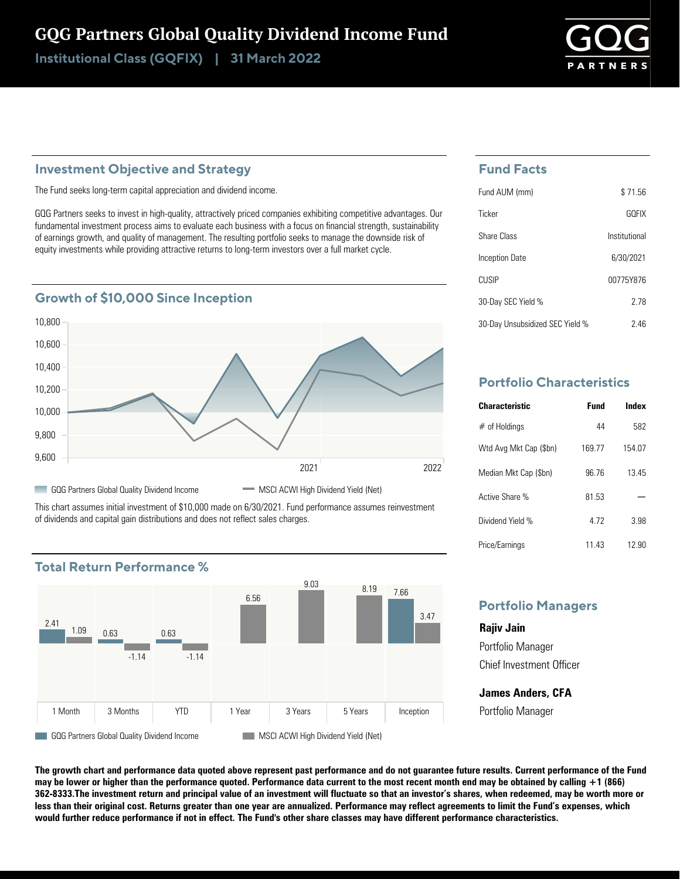# GQG Partners Global Quality Dividend Income Fund

Institutional Class (GQFIX) | 31 March 2022

### **Investment Objective and Strategy**

The Fund seeks long-term capital appreciation and dividend income.

GQG Partners seeks to invest in high-quality, attractively priced companies exhibiting competitive advantages. Our fundamental investment process aims to evaluate each business with a focus on financial strength, sustainability of earnings growth, and quality of management. The resulting portfolio seeks to manage the downside risk of equity investments while providing attractive returns to long-term investors over a full market cycle.

## **Growth of \$10,000 Since Inception**



This chart assumes initial investment of \$10,000 made on 6/30/2021. Fund performance assumes reinvestment of dividends and capital gain distributions and does not reflect sales charges.



# **Fund Facts**

| Fund AUM (mm)                   | \$71.56       |
|---------------------------------|---------------|
| Ticker                          | GOFIX         |
| <b>Share Class</b>              | Institutional |
| Inception Date                  | 6/30/2021     |
| <b>CUSIP</b>                    | 00775Y876     |
| 30-Day SEC Yield %              | 278           |
| 30-Day Unsubsidized SEC Yield % | 246           |

# **Portfolio Characteristics**

| <b>Characteristic</b>  | Fund  | Index  |
|------------------------|-------|--------|
| $#$ of Holdings        | 44    | 582    |
| Wtd Avg Mkt Cap (\$bn) | 16977 | 154.07 |
| Median Mkt Cap (\$bn)  | 96 76 | 1345   |
| Active Share %         | 81 53 |        |
| Dividend Yield %       | 472   | 3.98   |
| Price/Earnings         | 11.43 | 12.90  |

## **Portfolio Managers**

**Rajiv Jain** Portfolio Manager Chief Investment Officer

**James Anders, CFA** Portfolio Manager

**The growth chart and performance data quoted above represent past performance and do not guarantee future results. Current performance of the Fund may be lower or higher than the performance quoted. Performance data current to the most recent month end may be obtained by calling +1 (866) 362-8333.The investment return and principal value of an investment will fluctuate so that an investor's shares, when redeemed, may be worth more or less than their original cost. Returns greater than one year are annualized. Performance may reflect agreements to limit the Fund's expenses, which would further reduce performance if not in effect. The Fund's other share classes may have different performance characteristics.**

### **Total Return Performance %**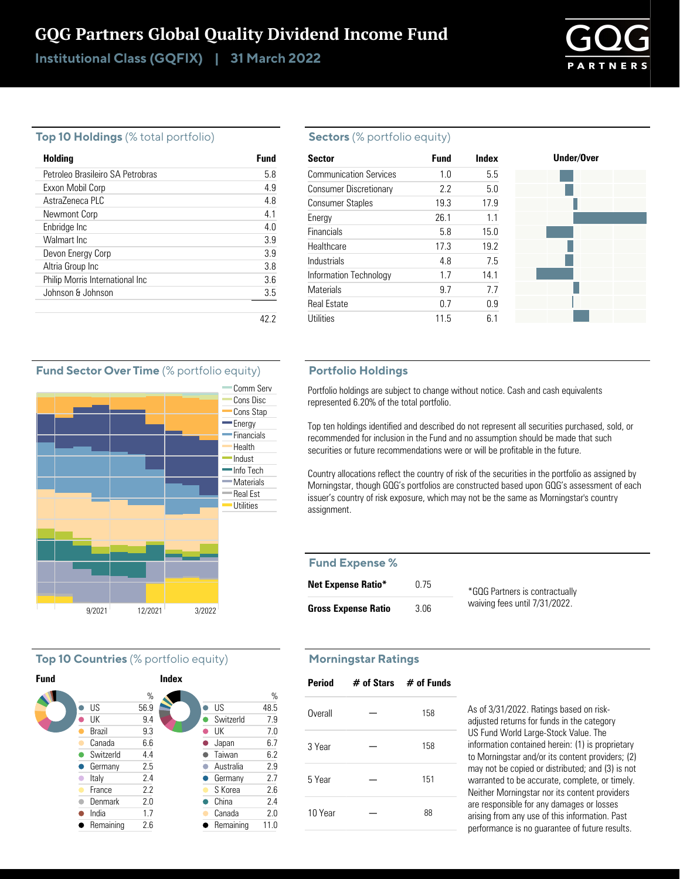# GQG Partners Global Quality Dividend Income Fund

Institutional Class (GQFIX) | 31 March 2022



#### **Top 10 Holdings** (% total portfolio)

| Holding                          | <b>Fund</b> |
|----------------------------------|-------------|
| Petroleo Brasileiro SA Petrobras | 58          |
| Exxon Mobil Corp                 | 49          |
| Astra7eneca PLC                  | 4.8         |
| Newmont Corp                     | 4.1         |
| Enbridge Inc                     | 4.0         |
| Walmart Inc.                     | 3.9         |
| Devon Energy Corp                | 3.9         |
| Altria Group Inc                 | 3.8         |
| Philip Morris International Inc  | 36          |
| Johnson & Johnson                | 3.5         |
|                                  |             |
|                                  |             |

#### **Sectors** (% portfolio equity)

| <b>Sector</b>                 | <b>Fund</b> | Index | Under/Over |
|-------------------------------|-------------|-------|------------|
| <b>Communication Services</b> | 1.0         | 5.5   |            |
| <b>Consumer Discretionary</b> | 2.2         | 5.0   |            |
| <b>Consumer Staples</b>       | 19.3        | 17.9  |            |
| Energy                        | 26.1        | 1.1   |            |
| Financials                    | 5.8         | 15.0  |            |
| Healthcare                    | 17.3        | 19.2  |            |
| Industrials                   | 4.8         | 7.5   |            |
| Information Technology        | 1.7         | 14.1  |            |
| <b>Materials</b>              | 9.7         | 7.7   |            |
| <b>Real Estate</b>            | 0.7         | 0.9   |            |
| <b>Utilities</b>              | 11.5        | 6.1   |            |

#### **Portfolio Holdings**

Portfolio holdings are subject to change without notice. Cash and cash equivalents represented 6.20% of the total portfolio.

Top ten holdings identified and described do not represent all securities purchased, sold, or recommended for inclusion in the Fund and no assumption should be made that such securities or future recommendations were or will be profitable in the future.

Country allocations reflect the country of risk of the securities in the portfolio as assigned by Morningstar, though GQG's portfolios are constructed based upon GQG's assessment of each issuer's country of risk exposure, which may not be the same as Morningstar's country assignment.

#### **Fund Expense %**

| <b>Net Expense Ratio*</b>  | 0.75 | *GQG Partners is contractually |
|----------------------------|------|--------------------------------|
| <b>Gross Expense Ratio</b> | 3.06 | waiving fees until 7/31/2022.  |

#### **Morningstar Ratings**

| <b>Period</b> | $\#$ of Stars $\#$ of Funds |     |
|---------------|-----------------------------|-----|
| Overall       |                             | 158 |
| 3 Year        |                             | 158 |
| 5 Year        |                             | 151 |
| 10 Year       |                             | 88  |

As of 3/31/2022. Ratings based on riskadjusted returns for funds in the category US Fund World Large-Stock Value. The information contained herein: (1) is proprietary to Morningstar and/or its content providers; (2) may not be copied or distributed; and (3) is not warranted to be accurate, complete, or timely. Neither Morningstar nor its content providers are responsible for any damages or losses arising from any use of this information. Past performance is no guarantee of future results.

#### **Fund Sector Over Time** (% portfolio equity)



#### **Top 10 Countries** (% portfolio equity)